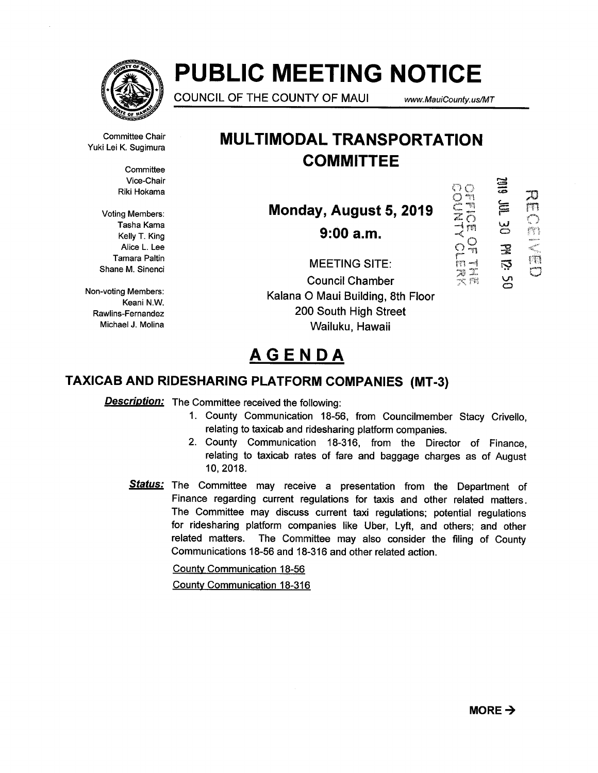

# PUBLIC MEETING NOTICE

COUNCIL OF THE COUNTY OF MAUI www.MauiCounty. us/MT

 $\circ$   $\circ$ 

NE OF ISLAM

Committee Chair Yuki Lei K. Sugimura

> **Committee** Vice-Chair Riki Hokama

Voting Members: Tasha Kama Kelly T. King Alice L. Lee Tamara Paltin Shane M. Sinenci

Non-voting Members: Keani N.W. Rawlins-Fernandez Michael J. Molina

# MULTIMODAL TRANSPORTATION **COMMITTEE**

Monday, August 5, 2019

 $9:00$  a.m.

THE SIEL **30**<br>B  $\overline{D}$ ر<br>C

23 m

MEETINGSITE r Council Chamber Kalana 0 Maui Building, 8th Floor 200 South High Street Wailuku, Hawaii

# AGENDA

# TAXICAB AND RIDESHARING PLATFORM COMPANIES (MT-3)

**Description:** The Committee received the following:

- 1. County Communication 18-56, from Councilmember Stacy Crivello, relating to taxicab and ridesharing platform companies.
- 2. County Communication 18-316, from the Director of Finance, relating to taxicab rates of fare and baggage charges as of August 10, 2018.
- Status: The Committee may receive a presentation from the Department of Finance regarding current regulations for taxis and other related matters. The Committee may discuss current taxi regulations; potential regulations for ridesharing platform companies like Uber, Lyft, and others; and other related matters. The Committee may also consider the filing of County Communications 18-56 and 18-316 and other related action.

County Communication 18-56 County Communication 18-316